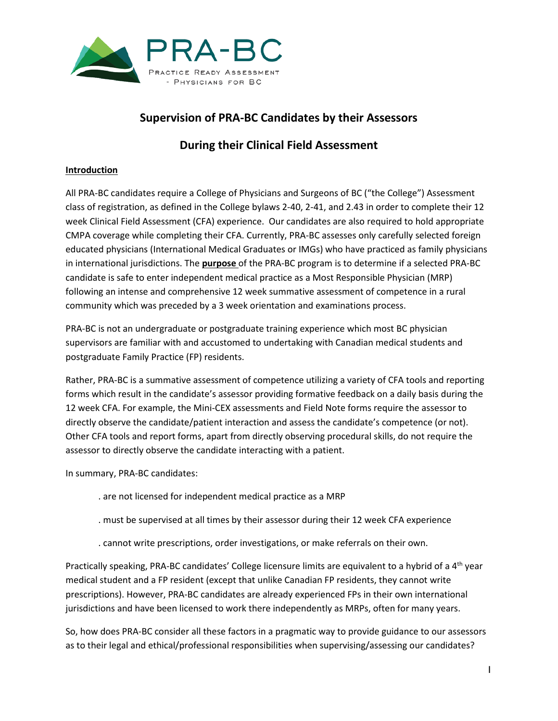

## **Supervision of PRA-BC Candidates by their Assessors**

# **During their Clinical Field Assessment**

### **Introduction**

All PRA-BC candidates require a College of Physicians and Surgeons of BC ("the College") Assessment class of registration, as defined in the College bylaws 2-40, 2-41, and 2.43 in order to complete their 12 week Clinical Field Assessment (CFA) experience. Our candidates are also required to hold appropriate CMPA coverage while completing their CFA. Currently, PRA-BC assesses only carefully selected foreign educated physicians (International Medical Graduates or IMGs) who have practiced as family physicians in international jurisdictions. The **purpose** of the PRA-BC program is to determine if a selected PRA-BC candidate is safe to enter independent medical practice as a Most Responsible Physician (MRP) following an intense and comprehensive 12 week summative assessment of competence in a rural community which was preceded by a 3 week orientation and examinations process.

PRA-BC is not an undergraduate or postgraduate training experience which most BC physician supervisors are familiar with and accustomed to undertaking with Canadian medical students and postgraduate Family Practice (FP) residents.

Rather, PRA-BC is a summative assessment of competence utilizing a variety of CFA tools and reporting forms which result in the candidate's assessor providing formative feedback on a daily basis during the 12 week CFA. For example, the Mini-CEX assessments and Field Note forms require the assessor to directly observe the candidate/patient interaction and assess the candidate's competence (or not). Other CFA tools and report forms, apart from directly observing procedural skills, do not require the assessor to directly observe the candidate interacting with a patient.

In summary, PRA-BC candidates:

- . are not licensed for independent medical practice as a MRP
- . must be supervised at all times by their assessor during their 12 week CFA experience
- . cannot write prescriptions, order investigations, or make referrals on their own.

Practically speaking, PRA-BC candidates' College licensure limits are equivalent to a hybrid of a 4<sup>th</sup> year medical student and a FP resident (except that unlike Canadian FP residents, they cannot write prescriptions). However, PRA-BC candidates are already experienced FPs in their own international jurisdictions and have been licensed to work there independently as MRPs, often for many years.

So, how does PRA-BC consider all these factors in a pragmatic way to provide guidance to our assessors as to their legal and ethical/professional responsibilities when supervising/assessing our candidates?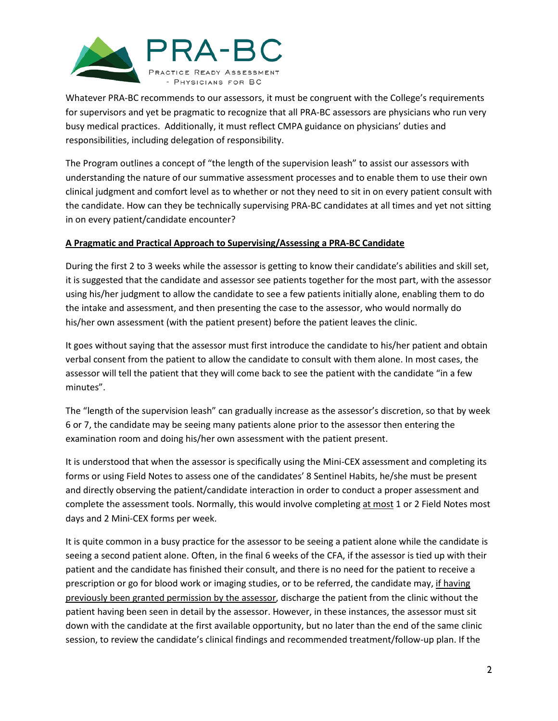

Whatever PRA-BC recommends to our assessors, it must be congruent with the College's requirements for supervisors and yet be pragmatic to recognize that all PRA-BC assessors are physicians who run very busy medical practices. Additionally, it must reflect CMPA guidance on physicians' duties and responsibilities, including delegation of responsibility.

The Program outlines a concept of "the length of the supervision leash" to assist our assessors with understanding the nature of our summative assessment processes and to enable them to use their own clinical judgment and comfort level as to whether or not they need to sit in on every patient consult with the candidate. How can they be technically supervising PRA-BC candidates at all times and yet not sitting in on every patient/candidate encounter?

#### **A Pragmatic and Practical Approach to Supervising/Assessing a PRA-BC Candidate**

During the first 2 to 3 weeks while the assessor is getting to know their candidate's abilities and skill set, it is suggested that the candidate and assessor see patients together for the most part, with the assessor using his/her judgment to allow the candidate to see a few patients initially alone, enabling them to do the intake and assessment, and then presenting the case to the assessor, who would normally do his/her own assessment (with the patient present) before the patient leaves the clinic.

It goes without saying that the assessor must first introduce the candidate to his/her patient and obtain verbal consent from the patient to allow the candidate to consult with them alone. In most cases, the assessor will tell the patient that they will come back to see the patient with the candidate "in a few minutes".

The "length of the supervision leash" can gradually increase as the assessor's discretion, so that by week 6 or 7, the candidate may be seeing many patients alone prior to the assessor then entering the examination room and doing his/her own assessment with the patient present.

It is understood that when the assessor is specifically using the Mini-CEX assessment and completing its forms or using Field Notes to assess one of the candidates' 8 Sentinel Habits, he/she must be present and directly observing the patient/candidate interaction in order to conduct a proper assessment and complete the assessment tools. Normally, this would involve completing at most 1 or 2 Field Notes most days and 2 Mini-CEX forms per week.

It is quite common in a busy practice for the assessor to be seeing a patient alone while the candidate is seeing a second patient alone. Often, in the final 6 weeks of the CFA, if the assessor is tied up with their patient and the candidate has finished their consult, and there is no need for the patient to receive a prescription or go for blood work or imaging studies, or to be referred, the candidate may, if having previously been granted permission by the assessor, discharge the patient from the clinic without the patient having been seen in detail by the assessor. However, in these instances, the assessor must sit down with the candidate at the first available opportunity, but no later than the end of the same clinic session, to review the candidate's clinical findings and recommended treatment/follow-up plan. If the